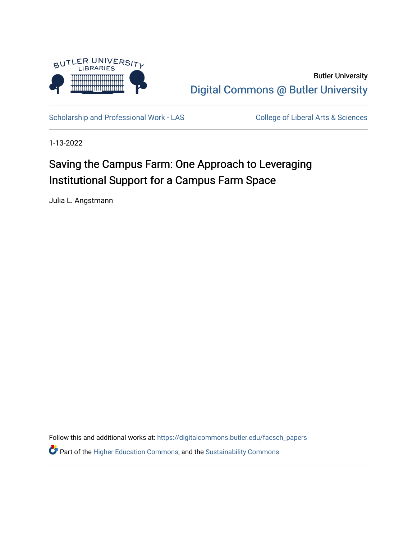

Butler University [Digital Commons @ Butler University](https://digitalcommons.butler.edu/) 

[Scholarship and Professional Work - LAS](https://digitalcommons.butler.edu/facsch_papers) College of Liberal Arts & Sciences

1-13-2022

# Saving the Campus Farm: One Approach to Leveraging Institutional Support for a Campus Farm Space

Julia L. Angstmann

Follow this and additional works at: [https://digitalcommons.butler.edu/facsch\\_papers](https://digitalcommons.butler.edu/facsch_papers?utm_source=digitalcommons.butler.edu%2Ffacsch_papers%2F1416&utm_medium=PDF&utm_campaign=PDFCoverPages) **P** Part of the [Higher Education Commons,](https://network.bepress.com/hgg/discipline/1245?utm_source=digitalcommons.butler.edu%2Ffacsch_papers%2F1416&utm_medium=PDF&utm_campaign=PDFCoverPages) and the [Sustainability Commons](https://network.bepress.com/hgg/discipline/1031?utm_source=digitalcommons.butler.edu%2Ffacsch_papers%2F1416&utm_medium=PDF&utm_campaign=PDFCoverPages)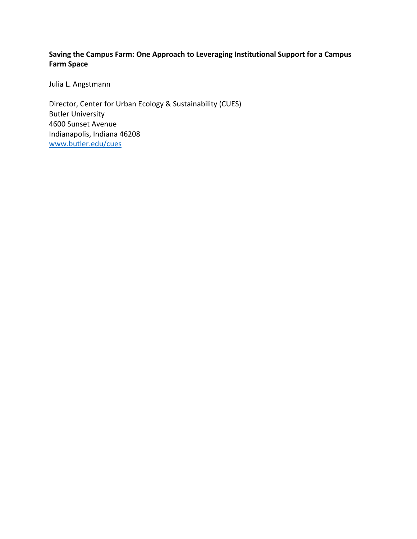## **Saving the Campus Farm: One Approach to Leveraging Institutional Support for a Campus Farm Space**

Julia L. Angstmann

Director, Center for Urban Ecology & Sustainability (CUES) Butler University 4600 Sunset Avenue Indianapolis, Indiana 46208 www.butler.edu/cues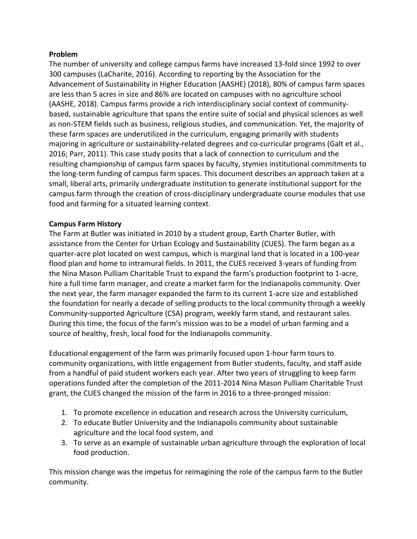## **Problem**

The number of university and college campus farms have increased 13-fold since 1992 to over 300 campuses (LaCharite, 2016). According to reporting by the Association for the Advancement of Sustainability in Higher Education (AASHE) (2018), 80% of campus farm spaces are less than 5 acres in size and 86% are located on campuses with no agriculture school (AASHE, 2018). Campus farms provide a rich interdisciplinary social context of communitybased, sustainable agriculture that spans the entire suite of social and physical sciences as well as non-STEM fields such as business, religious studies, and communication. Yet, the majority of these farm spaces are underutilized in the curriculum, engaging primarily with students majoring in agriculture or sustainability-related degrees and co-curricular programs (Galt et al., 2016; Parr, 2011). This case study posits that a lack of connection to curriculum and the resulting championship of campus farm spaces by faculty, stymies institutional commitments to the long-term funding of campus farm spaces. This document describes an approach taken at a small, liberal arts, primarily undergraduate institution to generate institutional support for the campus farm through the creation of cross-disciplinary undergraduate course modules that use food and farming for a situated learning context.

## **Campus Farm History**

The Farm at Butler was initiated in 2010 by a student group, Earth Charter Butler, with assistance from the Center for Urban Ecology and Sustainability (CUES). The farm began as a quarter-acre plot located on west campus, which is marginal land that is located in a 100-year flood plan and home to intramural fields. In 2011, the CUES received 3-years of funding from the Nina Mason Pulliam Charitable Trust to expand the farm's production footprint to 1-acre, hire a full time farm manager, and create a market farm for the Indianapolis community. Over the next year, the farm manager expanded the farm to its current 1-acre size and established the foundation for nearly a decade of selling products to the local community through a weekly Community-supported Agriculture (CSA) program, weekly farm stand, and restaurant sales. During this time, the focus of the farm's mission was to be a model of urban farming and a source of healthy, fresh, local food for the Indianapolis community.

Educational engagement of the farm was primarily focused upon 1-hour farm tours to community organizations, with little engagement from Butler students, faculty, and staff aside from a handful of paid student workers each year. After two years of struggling to keep farm operations funded after the completion of the 2011-2014 Nina Mason Pulliam Charitable Trust grant, the CUES changed the mission of the farm in 2016 to a three-pronged mission:

- 1. To promote excellence in education and research across the University curriculum,
- 2. To educate Butler University and the Indianapolis community about sustainable agriculture and the local food system, and
- 3. To serve as an example of sustainable urban agriculture through the exploration of local food production.

This mission change was the impetus for reimagining the role of the campus farm to the Butler community.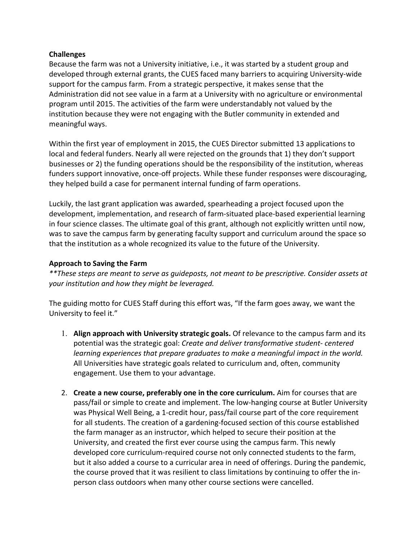## **Challenges**

Because the farm was not a University initiative, i.e., it was started by a student group and developed through external grants, the CUES faced many barriers to acquiring University-wide support for the campus farm. From a strategic perspective, it makes sense that the Administration did not see value in a farm at a University with no agriculture or environmental program until 2015. The activities of the farm were understandably not valued by the institution because they were not engaging with the Butler community in extended and meaningful ways.

Within the first year of employment in 2015, the CUES Director submitted 13 applications to local and federal funders. Nearly all were rejected on the grounds that 1) they don't support businesses or 2) the funding operations should be the responsibility of the institution, whereas funders support innovative, once-off projects. While these funder responses were discouraging, they helped build a case for permanent internal funding of farm operations.

Luckily, the last grant application was awarded, spearheading a project focused upon the development, implementation, and research of farm-situated place-based experiential learning in four science classes. The ultimate goal of this grant, although not explicitly written until now, was to save the campus farm by generating faculty support and curriculum around the space so that the institution as a whole recognized its value to the future of the University.

## **Approach to Saving the Farm**

*\*\*These steps are meant to serve as guideposts, not meant to be prescriptive. Consider assets at your institution and how they might be leveraged.*

The guiding motto for CUES Staff during this effort was, "If the farm goes away, we want the University to feel it."

- 1. **Align approach with University strategic goals.** Of relevance to the campus farm and its potential was the strategic goal: *Create and deliver transformative student- centered learning experiences that prepare graduates to make a meaningful impact in the world.*  All Universities have strategic goals related to curriculum and, often, community engagement. Use them to your advantage.
- 2. **Create a new course, preferably one in the core curriculum.** Aim for courses that are pass/fail or simple to create and implement. The low-hanging course at Butler University was Physical Well Being, a 1-credit hour, pass/fail course part of the core requirement for all students. The creation of a gardening-focused section of this course established the farm manager as an instructor, which helped to secure their position at the University, and created the first ever course using the campus farm. This newly developed core curriculum-required course not only connected students to the farm, but it also added a course to a curricular area in need of offerings. During the pandemic, the course proved that it was resilient to class limitations by continuing to offer the inperson class outdoors when many other course sections were cancelled.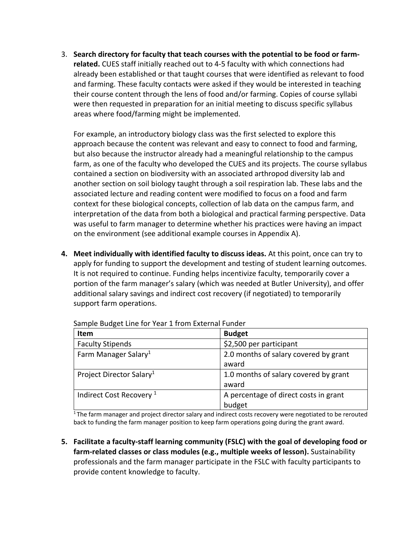3. **Search directory for faculty that teach courses with the potential to be food or farmrelated.** CUES staff initially reached out to 4-5 faculty with which connections had already been established or that taught courses that were identified as relevant to food and farming. These faculty contacts were asked if they would be interested in teaching their course content through the lens of food and/or farming. Copies of course syllabi were then requested in preparation for an initial meeting to discuss specific syllabus areas where food/farming might be implemented.

For example, an introductory biology class was the first selected to explore this approach because the content was relevant and easy to connect to food and farming, but also because the instructor already had a meaningful relationship to the campus farm, as one of the faculty who developed the CUES and its projects. The course syllabus contained a section on biodiversity with an associated arthropod diversity lab and another section on soil biology taught through a soil respiration lab. These labs and the associated lecture and reading content were modified to focus on a food and farm context for these biological concepts, collection of lab data on the campus farm, and interpretation of the data from both a biological and practical farming perspective. Data was useful to farm manager to determine whether his practices were having an impact on the environment (see additional example courses in Appendix A).

**4. Meet individually with identified faculty to discuss ideas.** At this point, once can try to apply for funding to support the development and testing of student learning outcomes. It is not required to continue. Funding helps incentivize faculty, temporarily cover a portion of the farm manager's salary (which was needed at Butler University), and offer additional salary savings and indirect cost recovery (if negotiated) to temporarily support farm operations.

| <b>Item</b>                          | <b>Budget</b>                         |
|--------------------------------------|---------------------------------------|
| <b>Faculty Stipends</b>              | \$2,500 per participant               |
| Farm Manager Salary <sup>1</sup>     | 2.0 months of salary covered by grant |
|                                      | award                                 |
| Project Director Salary <sup>1</sup> | 1.0 months of salary covered by grant |
|                                      | award                                 |
| Indirect Cost Recovery <sup>1</sup>  | A percentage of direct costs in grant |
|                                      | budget                                |

Sample Budget Line for Year 1 from External Funder

 $1$ The farm manager and project director salary and indirect costs recovery were negotiated to be rerouted back to funding the farm manager position to keep farm operations going during the grant award.

**5. Facilitate a faculty-staff learning community (FSLC) with the goal of developing food or farm-related classes or class modules (e.g., multiple weeks of lesson).** Sustainability professionals and the farm manager participate in the FSLC with faculty participants to provide content knowledge to faculty.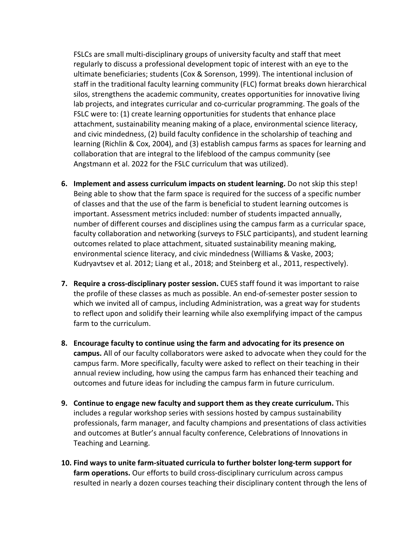FSLCs are small multi-disciplinary groups of university faculty and staff that meet regularly to discuss a professional development topic of interest with an eye to the ultimate beneficiaries; students (Cox & Sorenson, 1999). The intentional inclusion of staff in the traditional faculty learning community (FLC) format breaks down hierarchical silos, strengthens the academic community, creates opportunities for innovative living lab projects, and integrates curricular and co-curricular programming. The goals of the FSLC were to: (1) create learning opportunities for students that enhance place attachment, sustainability meaning making of a place, environmental science literacy, and civic mindedness, (2) build faculty confidence in the scholarship of teaching and learning (Richlin & Cox, 2004), and (3) establish campus farms as spaces for learning and collaboration that are integral to the lifeblood of the campus community (see Angstmann et al. 2022 for the FSLC curriculum that was utilized).

- **6. Implement and assess curriculum impacts on student learning.** Do not skip this step! Being able to show that the farm space is required for the success of a specific number of classes and that the use of the farm is beneficial to student learning outcomes is important. Assessment metrics included: number of students impacted annually, number of different courses and disciplines using the campus farm as a curricular space, faculty collaboration and networking (surveys to FSLC participants), and student learning outcomes related to place attachment, situated sustainability meaning making, environmental science literacy, and civic mindedness (Williams & Vaske, 2003; Kudryavtsev et al. 2012; Liang et al., 2018; and Steinberg et al., 2011, respectively).
- **7. Require a cross-disciplinary poster session.** CUES staff found it was important to raise the profile of these classes as much as possible. An end-of-semester poster session to which we invited all of campus, including Administration, was a great way for students to reflect upon and solidify their learning while also exemplifying impact of the campus farm to the curriculum.
- **8. Encourage faculty to continue using the farm and advocating for its presence on campus.** All of our faculty collaborators were asked to advocate when they could for the campus farm. More specifically, faculty were asked to reflect on their teaching in their annual review including, how using the campus farm has enhanced their teaching and outcomes and future ideas for including the campus farm in future curriculum.
- **9. Continue to engage new faculty and support them as they create curriculum.** This includes a regular workshop series with sessions hosted by campus sustainability professionals, farm manager, and faculty champions and presentations of class activities and outcomes at Butler's annual faculty conference, Celebrations of Innovations in Teaching and Learning.
- **10. Find ways to unite farm-situated curricula to further bolster long-term support for farm operations.** Our efforts to build cross-disciplinary curriculum across campus resulted in nearly a dozen courses teaching their disciplinary content through the lens of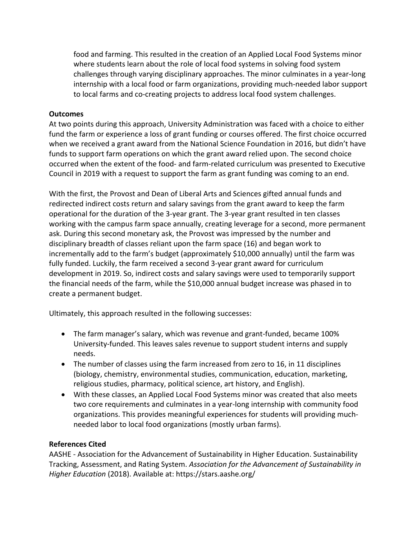food and farming. This resulted in the creation of an Applied Local Food Systems minor where students learn about the role of local food systems in solving food system challenges through varying disciplinary approaches. The minor culminates in a year-long internship with a local food or farm organizations, providing much-needed labor support to local farms and co-creating projects to address local food system challenges.

## **Outcomes**

At two points during this approach, University Administration was faced with a choice to either fund the farm or experience a loss of grant funding or courses offered. The first choice occurred when we received a grant award from the National Science Foundation in 2016, but didn't have funds to support farm operations on which the grant award relied upon. The second choice occurred when the extent of the food- and farm-related curriculum was presented to Executive Council in 2019 with a request to support the farm as grant funding was coming to an end.

With the first, the Provost and Dean of Liberal Arts and Sciences gifted annual funds and redirected indirect costs return and salary savings from the grant award to keep the farm operational for the duration of the 3-year grant. The 3-year grant resulted in ten classes working with the campus farm space annually, creating leverage for a second, more permanent ask. During this second monetary ask, the Provost was impressed by the number and disciplinary breadth of classes reliant upon the farm space (16) and began work to incrementally add to the farm's budget (approximately \$10,000 annually) until the farm was fully funded. Luckily, the farm received a second 3-year grant award for curriculum development in 2019. So, indirect costs and salary savings were used to temporarily support the financial needs of the farm, while the \$10,000 annual budget increase was phased in to create a permanent budget.

Ultimately, this approach resulted in the following successes:

- The farm manager's salary, which was revenue and grant-funded, became 100% University-funded. This leaves sales revenue to support student interns and supply needs.
- The number of classes using the farm increased from zero to 16, in 11 disciplines (biology, chemistry, environmental studies, communication, education, marketing, religious studies, pharmacy, political science, art history, and English).
- With these classes, an Applied Local Food Systems minor was created that also meets two core requirements and culminates in a year-long internship with community food organizations. This provides meaningful experiences for students will providing muchneeded labor to local food organizations (mostly urban farms).

#### **References Cited**

AASHE - Association for the Advancement of Sustainability in Higher Education. Sustainability Tracking, Assessment, and Rating System. *Association for the Advancement of Sustainability in Higher Education* (2018). Available at: https://stars.aashe.org/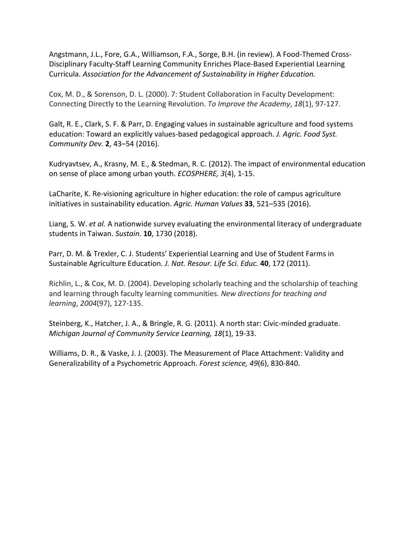Angstmann, J.L., Fore, G.A., Williamson, F.A., Sorge, B.H. (in review). A Food-Themed Cross-Disciplinary Faculty-Staff Learning Community Enriches Place-Based Experiential Learning Curricula. *Association for the Advancement of Sustainability in Higher Education.*

Cox, M. D., & Sorenson, D. L. (2000). 7: Student Collaboration in Faculty Development: Connecting Directly to the Learning Revolution. *To Improve the Academy*, *18*(1), 97-127.

Galt, R. E., Clark, S. F. & Parr, D. Engaging values in sustainable agriculture and food systems education: Toward an explicitly values-based pedagogical approach. *J. Agric. Food Syst. Community Dev.* **2**, 43–54 (2016).

Kudryavtsev, A., Krasny, M. E., & Stedman, R. C. (2012). The impact of environmental education on sense of place among urban youth. *ECOSPHERE, 3*(4), 1-15.

LaCharite, K. Re-visioning agriculture in higher education: the role of campus agriculture initiatives in sustainability education. *Agric. Human Values* **33**, 521–535 (2016).

Liang, S. W. *et al.* A nationwide survey evaluating the environmental literacy of undergraduate students in Taiwan. *Sustain.* **10**, 1730 (2018).

Parr, D. M. & Trexler, C. J. Students' Experiential Learning and Use of Student Farms in Sustainable Agriculture Education. *J. Nat. Resour. Life Sci. Educ.* **40**, 172 (2011).

Richlin, L., & Cox, M. D. (2004). Developing scholarly teaching and the scholarship of teaching and learning through faculty learning communities. *New directions for teaching and learning*, *2004*(97), 127-135.

Steinberg, K., Hatcher, J. A., & Bringle, R. G. (2011). A north star: Civic-minded graduate. *Michigan Journal of Community Service Learning, 18*(1), 19-33.

Williams, D. R., & Vaske, J. J. (2003). The Measurement of Place Attachment: Validity and Generalizability of a Psychometric Approach. *Forest science, 49*(6), 830-840.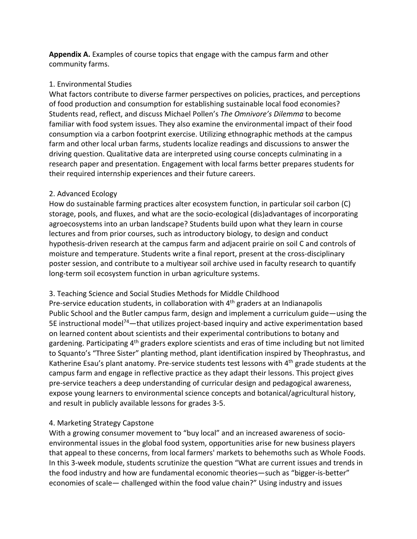**Appendix A.** Examples of course topics that engage with the campus farm and other community farms.

## 1. Environmental Studies

What factors contribute to diverse farmer perspectives on policies, practices, and perceptions of food production and consumption for establishing sustainable local food economies? Students read, reflect, and discuss Michael Pollen's *The Omnivore's Dilemma* to become familiar with food system issues. They also examine the environmental impact of their food consumption via a carbon footprint exercise. Utilizing ethnographic methods at the campus farm and other local urban farms, students localize readings and discussions to answer the driving question. Qualitative data are interpreted using course concepts culminating in a research paper and presentation. Engagement with local farms better prepares students for their required internship experiences and their future careers.

## 2. Advanced Ecology

How do sustainable farming practices alter ecosystem function, in particular soil carbon (C) storage, pools, and fluxes, and what are the socio-ecological (dis)advantages of incorporating agroecosystems into an urban landscape? Students build upon what they learn in course lectures and from prior courses, such as introductory biology, to design and conduct hypothesis-driven research at the campus farm and adjacent prairie on soil C and controls of moisture and temperature. Students write a final report, present at the cross-disciplinary poster session, and contribute to a multiyear soil archive used in faculty research to quantify long-term soil ecosystem function in urban agriculture systems.

## 3. Teaching Science and Social Studies Methods for Middle Childhood

Pre-service education students, in collaboration with  $4<sup>th</sup>$  graders at an Indianapolis Public School and the Butler campus farm, design and implement a curriculum guide—using the 5E instructional model<sup>74</sup>—that utilizes project-based inquiry and active experimentation based on learned content about scientists and their experimental contributions to botany and gardening. Participating 4<sup>th</sup> graders explore scientists and eras of time including but not limited to Squanto's "Three Sister" planting method, plant identification inspired by Theophrastus, and Katherine Esau's plant anatomy. Pre-service students test lessons with 4<sup>th</sup> grade students at the campus farm and engage in reflective practice as they adapt their lessons. This project gives pre-service teachers a deep understanding of curricular design and pedagogical awareness, expose young learners to environmental science concepts and botanical/agricultural history, and result in publicly available lessons for grades 3-5.

## 4. Marketing Strategy Capstone

With a growing consumer movement to "buy local" and an increased awareness of socioenvironmental issues in the global food system, opportunities arise for new business players that appeal to these concerns, from local farmers' markets to behemoths such as Whole Foods. In this 3-week module, students scrutinize the question "What are current issues and trends in the food industry and how are fundamental economic theories—such as "bigger-is-better" economies of scale— challenged within the food value chain?" Using industry and issues